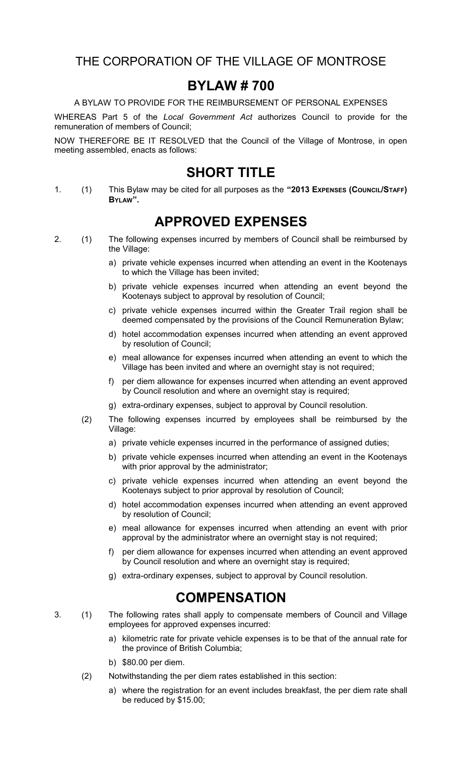THE CORPORATION OF THE VILLAGE OF MONTROSE

## **BYLAW # 700**

A BYLAW TO PROVIDE FOR THE REIMBURSEMENT OF PERSONAL EXPENSES

WHEREAS Part 5 of the *Local Government Act* authorizes Council to provide for the remuneration of members of Council;

NOW THEREFORE BE IT RESOLVED that the Council of the Village of Montrose, in open meeting assembled, enacts as follows:

### **SHORT TITLE**

1. (1) This Bylaw may be cited for all purposes as the **"2013 EXPENSES (COUNCIL/STAFF) BYLAW".**

# **APPROVED EXPENSES**

- 2. (1) The following expenses incurred by members of Council shall be reimbursed by the Village:
	- a) private vehicle expenses incurred when attending an event in the Kootenays to which the Village has been invited;
	- b) private vehicle expenses incurred when attending an event beyond the Kootenays subject to approval by resolution of Council;
	- c) private vehicle expenses incurred within the Greater Trail region shall be deemed compensated by the provisions of the Council Remuneration Bylaw;
	- d) hotel accommodation expenses incurred when attending an event approved by resolution of Council;
	- e) meal allowance for expenses incurred when attending an event to which the Village has been invited and where an overnight stay is not required;
	- f) per diem allowance for expenses incurred when attending an event approved by Council resolution and where an overnight stay is required;
	- g) extra-ordinary expenses, subject to approval by Council resolution.
	- (2) The following expenses incurred by employees shall be reimbursed by the Village:
		- a) private vehicle expenses incurred in the performance of assigned duties;
		- b) private vehicle expenses incurred when attending an event in the Kootenays with prior approval by the administrator;
		- c) private vehicle expenses incurred when attending an event beyond the Kootenays subject to prior approval by resolution of Council;
		- d) hotel accommodation expenses incurred when attending an event approved by resolution of Council;
		- e) meal allowance for expenses incurred when attending an event with prior approval by the administrator where an overnight stay is not required;
		- f) per diem allowance for expenses incurred when attending an event approved by Council resolution and where an overnight stay is required;
		- g) extra-ordinary expenses, subject to approval by Council resolution.

## **COMPENSATION**

- 3. (1) The following rates shall apply to compensate members of Council and Village employees for approved expenses incurred:
	- a) kilometric rate for private vehicle expenses is to be that of the annual rate for the province of British Columbia;
	- b) \$80.00 per diem.
	- (2) Notwithstanding the per diem rates established in this section:
		- a) where the registration for an event includes breakfast, the per diem rate shall be reduced by \$15.00;